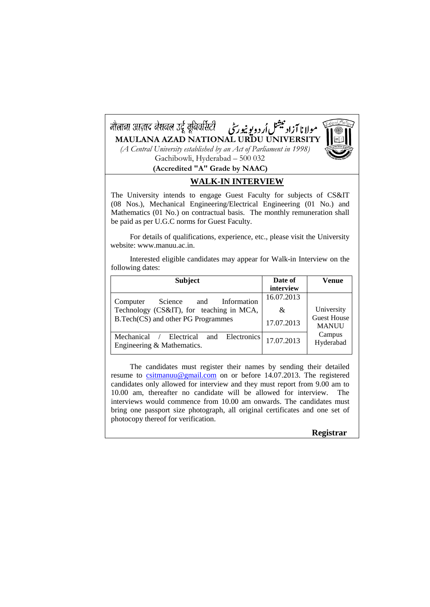

## **WALK-IN INTERVIEW**

The University intends to engage Guest Faculty for subjects of CS&IT (08 Nos.), Mechanical Engineering/Electrical Engineering (01 No.) and Mathematics (01 No.) on contractual basis. The monthly remuneration shall be paid as per U.G.C norms for Guest Faculty.

For details of qualifications, experience, etc., please visit the University website: www.manuu.ac.in.

Interested eligible candidates may appear for Walk-in Interview on the following dates:

| <b>Subject</b>                                                        | Date of    | Venue                              |
|-----------------------------------------------------------------------|------------|------------------------------------|
|                                                                       | interview  |                                    |
| Information<br>Science<br>and<br>Computer                             | 16.07.2013 |                                    |
| Technology (CS&IT), for teaching in MCA,                              | &          | University                         |
| B.Tech(CS) and other PG Programmes                                    | 17.07.2013 | <b>Guest House</b><br><b>MANUU</b> |
| Mechanical / Electrical and Electronics<br>Engineering & Mathematics. | 17.07.2013 | Campus<br>Hyderabad                |

The candidates must register their names by sending their detailed resume to [csitmanuu@gmail.com](mailto:csitmanuu@gmail.com) on or before 14.07.2013. The registered candidates only allowed for interview and they must report from 9.00 am to 10.00 am, thereafter no candidate will be allowed for interview. The interviews would commence from 10.00 am onwards. The candidates must bring one passport size photograph, all original certificates and one set of photocopy thereof for verification.

**Registrar**